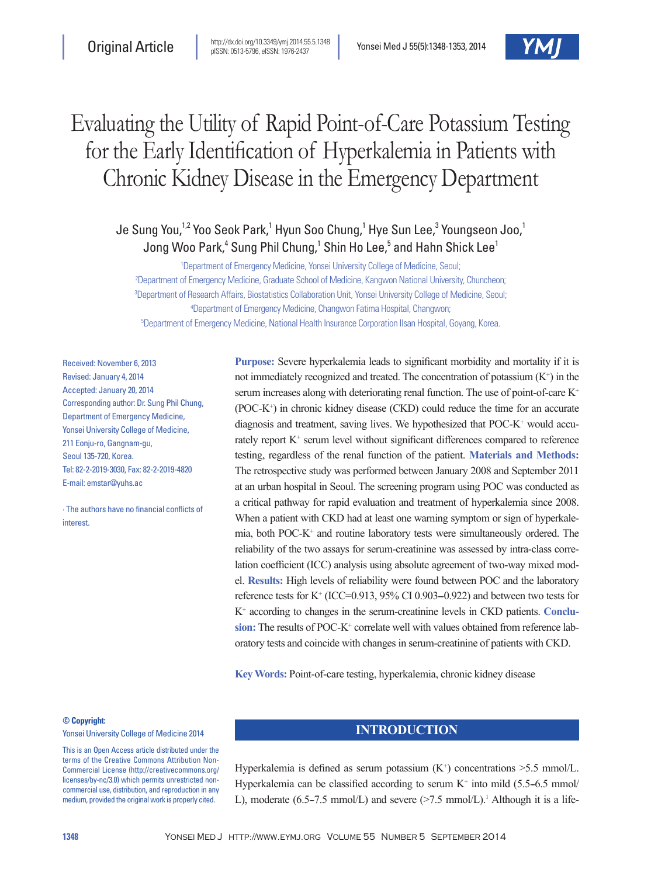

# Evaluating the Utility of Rapid Point-of-Care Potassium Testing for the Early Identification of Hyperkalemia in Patients with Chronic Kidney Disease in the Emergency Department

## Je Sung You, $^{1,2}$  Yoo Seok Park, $^1$  Hyun Soo Chung, $^1$  Hye Sun Lee, $^3$  Youngseon Joo, $^1$ Jong Woo Park, $^4$  Sung Phil Chung, $^1$  Shin Ho Lee, $^5$  and Hahn Shick Lee $^1$

 Department of Emergency Medicine, Yonsei University College of Medicine, Seoul; Department of Emergency Medicine, Graduate School of Medicine, Kangwon National University, Chuncheon; Department of Research Affairs, Biostatistics Collaboration Unit, Yonsei University College of Medicine, Seoul; Department of Emergency Medicine, Changwon Fatima Hospital, Changwon; Department of Emergency Medicine, National Health Insurance Corporation Ilsan Hospital, Goyang, Korea.

Received: November 6, 2013 Revised: January 4, 2014 Accepted: January 20, 2014 Corresponding author: Dr. Sung Phil Chung, Department of Emergency Medicine, Yonsei University College of Medicine, 211 Eonju-ro, Gangnam-gu, Seoul 135-720, Korea. Tel: 82-2-2019-3030, Fax: 82-2-2019-4820 E-mail: emstar@yuhs.ac

∙ The authors have no financial conflicts of interest.

**Purpose:** Severe hyperkalemia leads to significant morbidity and mortality if it is not immediately recognized and treated. The concentration of potassium  $(K^+)$  in the serum increases along with deteriorating renal function. The use of point-of-care K+  $(POC-K<sup>+</sup>)$  in chronic kidney disease  $(CKD)$  could reduce the time for an accurate diagnosis and treatment, saving lives. We hypothesized that POC-K<sup>+</sup> would accurately report  $K^+$  serum level without significant differences compared to reference testing, regardless of the renal function of the patient. **Materials and Methods:** The retrospective study was performed between January 2008 and September 2011 at an urban hospital in Seoul. The screening program using POC was conducted as a critical pathway for rapid evaluation and treatment of hyperkalemia since 2008. When a patient with CKD had at least one warning symptom or sign of hyperkalemia, both POC-K<sup>+</sup> and routine laboratory tests were simultaneously ordered. The reliability of the two assays for serum-creatinine was assessed by intra-class correlation coefficient (ICC) analysis using absolute agreement of two-way mixed model. **Results:** High levels of reliability were found between POC and the laboratory reference tests for K $+$  (ICC=0.913, 95% CI 0.903–0.922) and between two tests for K+ according to changes in the serum-creatinine levels in CKD patients. **Conclu**sion: The results of POC-K<sup>+</sup> correlate well with values obtained from reference laboratory tests and coincide with changes in serum-creatinine of patients with CKD.

**Key Words:** Point-of-care testing, hyperkalemia, chronic kidney disease

#### **© Copyright:**

Yonsei University College of Medicine 2014

This is an Open Access article distributed under the terms of the Creative Commons Attribution Non-Commercial License (http://creativecommons.org/ licenses/by-nc/3.0) which permits unrestricted noncommercial use, distribution, and reproduction in any medium, provided the original work is properly cited.

### **INTRODUCTION**

Hyperkalemia is defined as serum potassium  $(K^+)$  concentrations  $\geq 5.5$  mmol/L. Hyperkalemia can be classified according to serum  $K^+$  into mild (5.5–6.5 mmol/ L), moderate (6.5–7.5 mmol/L) and severe  $(>=7.5 \text{ mmol/L})$ .<sup>1</sup> Although it is a life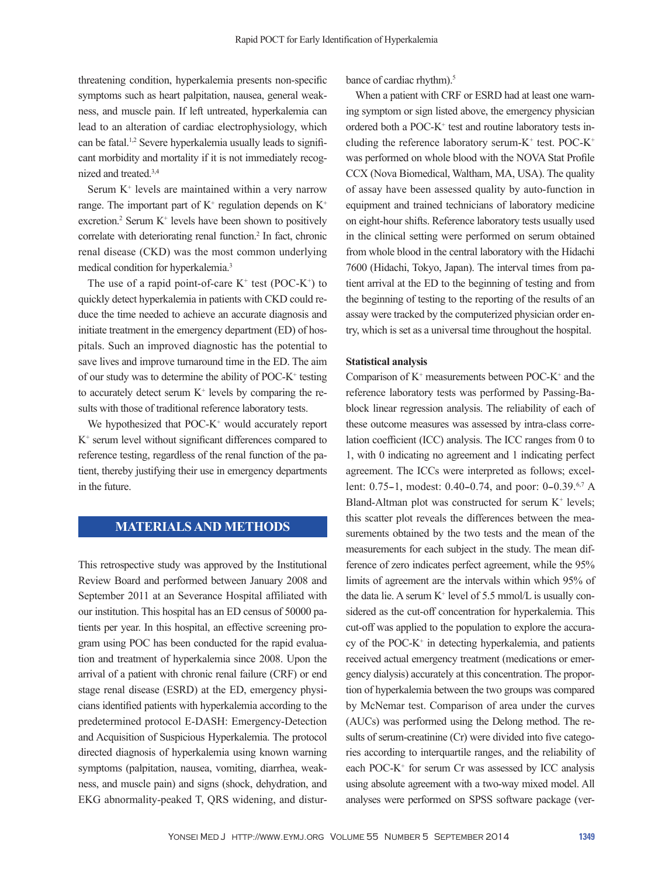threatening condition, hyperkalemia presents non-specific symptoms such as heart palpitation, nausea, general weakness, and muscle pain. If left untreated, hyperkalemia can lead to an alteration of cardiac electrophysiology, which can be fatal.1,2 Severe hyperkalemia usually leads to significant morbidity and mortality if it is not immediately recognized and treated.3,4

Serum  $K<sup>+</sup>$  levels are maintained within a very narrow range. The important part of  $K^+$  regulation depends on  $K^+$ excretion.<sup>2</sup> Serum  $K^+$  levels have been shown to positively correlate with deteriorating renal function.<sup>2</sup> In fact, chronic renal disease (CKD) was the most common underlying medical condition for hyperkalemia.3

The use of a rapid point-of-care  $K^+$  test (POC- $K^+$ ) to quickly detect hyperkalemia in patients with CKD could reduce the time needed to achieve an accurate diagnosis and initiate treatment in the emergency department (ED) of hospitals. Such an improved diagnostic has the potential to save lives and improve turnaround time in the ED. The aim of our study was to determine the ability of POC-K<sup>+</sup> testing to accurately detect serum  $K^+$  levels by comparing the results with those of traditional reference laboratory tests.

We hypothesized that POC-K<sup>+</sup> would accurately report K+ serum level without significant differences compared to reference testing, regardless of the renal function of the patient, thereby justifying their use in emergency departments in the future.

## **MATERIALS AND METHODS**

This retrospective study was approved by the Institutional Review Board and performed between January 2008 and September 2011 at an Severance Hospital affiliated with our institution. This hospital has an ED census of 50000 patients per year. In this hospital, an effective screening program using POC has been conducted for the rapid evaluation and treatment of hyperkalemia since 2008. Upon the arrival of a patient with chronic renal failure (CRF) or end stage renal disease (ESRD) at the ED, emergency physicians identified patients with hyperkalemia according to the predetermined protocol E-DASH: Emergency-Detection and Acquisition of Suspicious Hyperkalemia. The protocol directed diagnosis of hyperkalemia using known warning symptoms (palpitation, nausea, vomiting, diarrhea, weakness, and muscle pain) and signs (shock, dehydration, and EKG abnormality-peaked T, QRS widening, and disturbance of cardiac rhythm).<sup>5</sup>

When a patient with CRF or ESRD had at least one warning symptom or sign listed above, the emergency physician ordered both a POC-K<sup>+</sup> test and routine laboratory tests including the reference laboratory serum- $K^+$  test. POC- $K^+$ was performed on whole blood with the NOVA Stat Profile CCX (Nova Biomedical, Waltham, MA, USA). The quality of assay have been assessed quality by auto-function in equipment and trained technicians of laboratory medicine on eight-hour shifts. Reference laboratory tests usually used in the clinical setting were performed on serum obtained from whole blood in the central laboratory with the Hidachi 7600 (Hidachi, Tokyo, Japan). The interval times from patient arrival at the ED to the beginning of testing and from the beginning of testing to the reporting of the results of an assay were tracked by the computerized physician order entry, which is set as a universal time throughout the hospital.

#### **Statistical analysis**

Comparison of  $K^+$  measurements between POC- $K^+$  and the reference laboratory tests was performed by Passing-Bablock linear regression analysis. The reliability of each of these outcome measures was assessed by intra-class correlation coefficient (ICC) analysis. The ICC ranges from 0 to 1, with 0 indicating no agreement and 1 indicating perfect agreement. The ICCs were interpreted as follows; excellent: 0.75-1, modest: 0.40-0.74, and poor: 0-0.39.<sup>6,7</sup> A Bland-Altman plot was constructed for serum  $K^+$  levels; this scatter plot reveals the differences between the measurements obtained by the two tests and the mean of the measurements for each subject in the study. The mean difference of zero indicates perfect agreement, while the 95% limits of agreement are the intervals within which 95% of the data lie. A serum  $K^+$  level of 5.5 mmol/L is usually considered as the cut-off concentration for hyperkalemia. This cut-off was applied to the population to explore the accuracy of the POC-K+ in detecting hyperkalemia, and patients received actual emergency treatment (medications or emergency dialysis) accurately at this concentration. The proportion of hyperkalemia between the two groups was compared by McNemar test. Comparison of area under the curves (AUCs) was performed using the Delong method. The results of serum-creatinine (Cr) were divided into five categories according to interquartile ranges, and the reliability of each POC-K<sup>+</sup> for serum Cr was assessed by ICC analysis using absolute agreement with a two-way mixed model. All analyses were performed on SPSS software package (ver-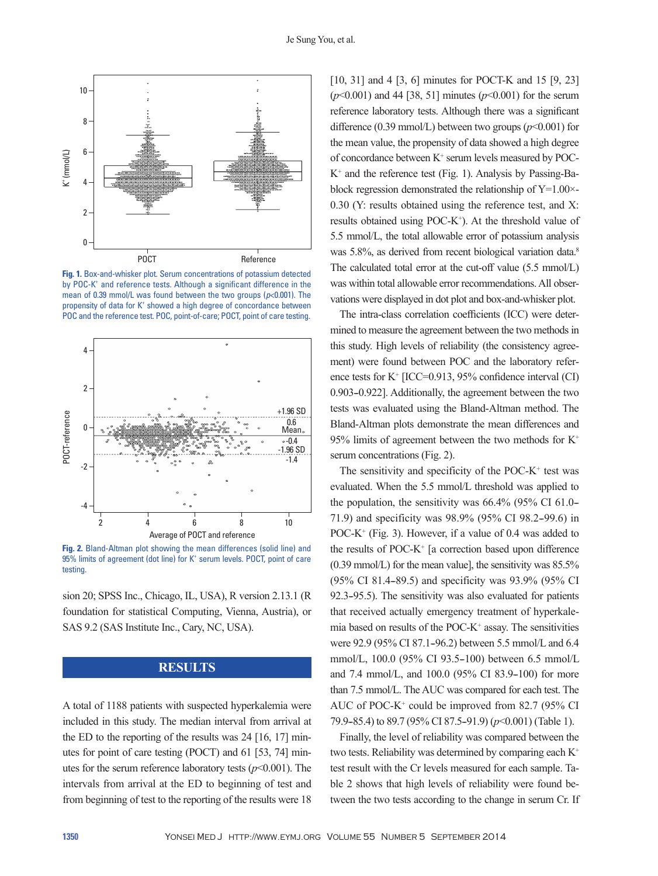

**Fig. 1.** Box-and-whisker plot. Serum concentrations of potassium detected by POC-K<sup>+</sup> and reference tests. Although a significant difference in the mean of 0.39 mmol/L was found between the two groups (*p*<0.001). The propensity of data for K<sup>+</sup> showed a high degree of concordance between POC and the reference test. POC, point-of-care; POCT, point of care testing.



**Fig. 2.** Bland-Altman plot showing the mean differences (solid line) and 95% limits of agreement (dot line) for K<sup>+</sup> serum levels. POCT, point of care testing.

sion 20; SPSS Inc., Chicago, IL, USA), R version 2.13.1 (R foundation for statistical Computing, Vienna, Austria), or SAS 9.2 (SAS Institute Inc., Cary, NC, USA).

## **RESULTS**

A total of 1188 patients with suspected hyperkalemia were included in this study. The median interval from arrival at the ED to the reporting of the results was 24 [16, 17] minutes for point of care testing (POCT) and 61 [53, 74] minutes for the serum reference laboratory tests  $(p<0.001)$ . The intervals from arrival at the ED to beginning of test and from beginning of test to the reporting of the results were 18

[10, 31] and 4 [3, 6] minutes for POCT-K and 15 [9, 23] (*p*<0.001) and 44 [38, 51] minutes (*p*<0.001) for the serum reference laboratory tests. Although there was a significant difference (0.39 mmol/L) between two groups  $(p<0.001)$  for the mean value, the propensity of data showed a high degree of concordance between  $K^+$  serum levels measured by POC-K+ and the reference test (Fig. 1). Analysis by Passing-Bablock regression demonstrated the relationship of  $Y=1.00\times$ 0.30 (Y: results obtained using the reference test, and X: results obtained using POC- $K^+$ ). At the threshold value of 5.5 mmol/L, the total allowable error of potassium analysis was 5.8%, as derived from recent biological variation data.<sup>8</sup> The calculated total error at the cut-off value (5.5 mmol/L) was within total allowable error recommendations. All observations were displayed in dot plot and box-and-whisker plot.

The intra-class correlation coefficients (ICC) were determined to measure the agreement between the two methods in this study. High levels of reliability (the consistency agreement) were found between POC and the laboratory reference tests for K+ [ICC=0.913, 95% confidence interval (CI) 0.903-0.922]. Additionally, the agreement between the two tests was evaluated using the Bland-Altman method. The Bland-Altman plots demonstrate the mean differences and 95% limits of agreement between the two methods for K+ serum concentrations (Fig. 2).

The sensitivity and specificity of the POC- $K^+$  test was evaluated. When the 5.5 mmol/L threshold was applied to the population, the sensitivity was  $66.4\%$  (95% CI 61.0– 71.9) and specificity was 98.9% (95% CI 98.2-99.6) in POC- $K^+$  (Fig. 3). However, if a value of 0.4 was added to the results of POC-K+ [a correction based upon difference (0.39 mmol/L) for the mean value], the sensitivity was 85.5% (95% CI 81.4–89.5) and specificity was 93.9% (95% CI 92.3-95.5). The sensitivity was also evaluated for patients that received actually emergency treatment of hyperkalemia based on results of the POC-K+ assay. The sensitivities were 92.9 (95% CI 87.1-96.2) between 5.5 mmol/L and 6.4 mmol/L, 100.0 (95% CI 93.5-100) between 6.5 mmol/L and 7.4 mmol/L, and 100.0 (95% CI 83.9–100) for more than 7.5 mmol/L. The AUC was compared for each test. The AUC of POC-K $^+$  could be improved from 82.7 (95% CI 79.9–85.4) to 89.7 (95% CI 87.5–91.9) ( $p$ <0.001) (Table 1).

Finally, the level of reliability was compared between the two tests. Reliability was determined by comparing each K+ test result with the Cr levels measured for each sample. Table 2 shows that high levels of reliability were found between the two tests according to the change in serum Cr. If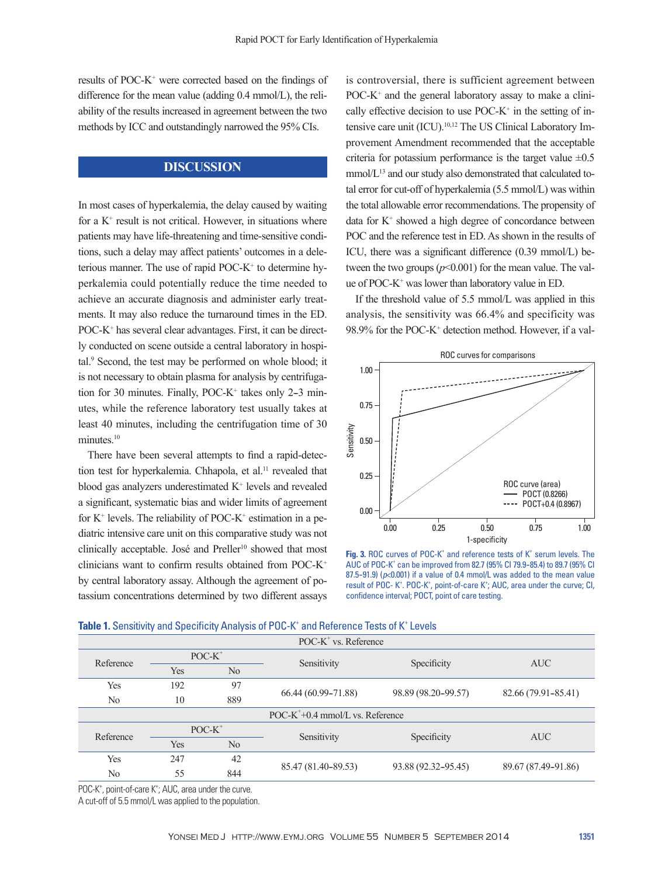results of POC-K+ were corrected based on the findings of difference for the mean value (adding 0.4 mmol/L), the reliability of the results increased in agreement between the two methods by ICC and outstandingly narrowed the 95% CIs.

## **DISCUSSION**

In most cases of hyperkalemia, the delay caused by waiting for a  $K^+$  result is not critical. However, in situations where patients may have life-threatening and time-sensitive conditions, such a delay may affect patients' outcomes in a deleterious manner. The use of rapid POC-K<sup>+</sup> to determine hyperkalemia could potentially reduce the time needed to achieve an accurate diagnosis and administer early treatments. It may also reduce the turnaround times in the ED. POC-K+ has several clear advantages. First, it can be directly conducted on scene outside a central laboratory in hospital.9 Second, the test may be performed on whole blood; it is not necessary to obtain plasma for analysis by centrifugation for 30 minutes. Finally, POC- $K^+$  takes only 2-3 minutes, while the reference laboratory test usually takes at least 40 minutes, including the centrifugation time of 30 minutes.<sup>10</sup>

There have been several attempts to find a rapid-detection test for hyperkalemia. Chhapola, et al.<sup>11</sup> revealed that blood gas analyzers underestimated  $K^+$  levels and revealed a significant, systematic bias and wider limits of agreement for  $K^+$  levels. The reliability of POC- $K^+$  estimation in a pediatric intensive care unit on this comparative study was not clinically acceptable. José and Preller<sup>10</sup> showed that most clinicians want to confirm results obtained from POC-K+ by central laboratory assay. Although the agreement of potassium concentrations determined by two different assays

is controversial, there is sufficient agreement between POC-K<sup>+</sup> and the general laboratory assay to make a clinically effective decision to use  $POC-K^+$  in the setting of intensive care unit (ICU).<sup>10,12</sup> The US Clinical Laboratory Improvement Amendment recommended that the acceptable criteria for potassium performance is the target value  $\pm 0.5$ mmol/L<sup>13</sup> and our study also demonstrated that calculated total error for cut-off of hyperkalemia (5.5 mmol/L) was within the total allowable error recommendations. The propensity of data for  $K^+$  showed a high degree of concordance between POC and the reference test in ED. As shown in the results of ICU, there was a significant difference (0.39 mmol/L) between the two groups  $(p<0.001)$  for the mean value. The value of POC-K+ was lower than laboratory value in ED.

If the threshold value of 5.5 mmol/L was applied in this analysis, the sensitivity was 66.4% and specificity was 98.9% for the POC-K+ detection method. However, if a val-



Fig. 3. ROC curves of POC-K<sup>+</sup> and reference tests of K<sup>+</sup> serum levels. The AUC of POC-K<sup>+</sup> can be improved from 82.7 (95% CI 79.9-85.4) to 89.7 (95% CI  $87.5-91.9$ ) ( $p<0.001$ ) if a value of 0.4 mmol/L was added to the mean value result of POC-K<sup>+</sup>. POC-K<sup>+</sup>, point-of-care K<sup>+</sup>; AUC, area under the curve; CI, confidence interval; POCT, point of care testing.

| $POC-K^*$ vs. Reference             |           |                |                     |                     |                     |  |  |  |  |  |
|-------------------------------------|-----------|----------------|---------------------|---------------------|---------------------|--|--|--|--|--|
| Reference                           | $POC-K^+$ |                | Sensitivity         | Specificity         | <b>AUC</b>          |  |  |  |  |  |
|                                     | Yes       | N <sub>0</sub> |                     |                     |                     |  |  |  |  |  |
| Yes                                 | 192       | 97             |                     |                     | 82.66 (79.91-85.41) |  |  |  |  |  |
| N <sub>0</sub>                      | 10        | 889            | 66.44 (60.99-71.88) | 98.89 (98.20-99.57) |                     |  |  |  |  |  |
| $POC-K^+$ +0.4 mmol/L vs. Reference |           |                |                     |                     |                     |  |  |  |  |  |
| Reference                           | $POC-K^+$ |                | Sensitivity         | Specificity         | <b>AUC</b>          |  |  |  |  |  |
|                                     | Yes       | N <sub>0</sub> |                     |                     |                     |  |  |  |  |  |
| Yes                                 | 247       | 42             | 85.47 (81.40-89.53) | 93.88 (92.32-95.45) | 89.67 (87.49-91.86) |  |  |  |  |  |
| N <sub>0</sub>                      | 55        | 844            |                     |                     |                     |  |  |  |  |  |

|  |  |  |  |  | <b>Table 1.</b> Sensitivity and Specificity Analysis of POC-K <sup>+</sup> and Reference Tests of K <sup>+</sup> Levels |  |  |
|--|--|--|--|--|-------------------------------------------------------------------------------------------------------------------------|--|--|
|--|--|--|--|--|-------------------------------------------------------------------------------------------------------------------------|--|--|

POC-K<sup>+</sup>, point-of-care K<sup>+</sup>; AUC, area under the curve.

A cut-off of 5.5 mmol/L was applied to the population.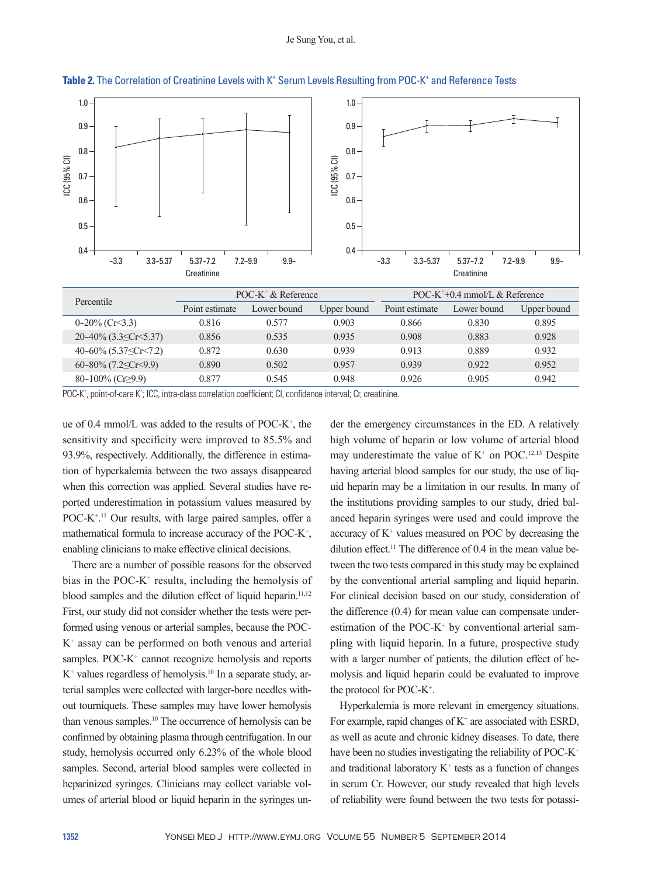

Table 2. The Correlation of Creatinine Levels with K<sup>+</sup> Serum Levels Resulting from POC-K<sup>+</sup> and Reference Tests

POC-K<sup>+</sup>, point-of-care K<sup>+</sup>; ICC, intra-class correlation coefficient; CI, confidence interval; Cr, creatinine.

ue of 0.4 mmol/L was added to the results of POC-K+ , the sensitivity and specificity were improved to 85.5% and 93.9%, respectively. Additionally, the difference in estimation of hyperkalemia between the two assays disappeared when this correction was applied. Several studies have reported underestimation in potassium values measured by POC-K<sup>+ 11</sup> Our results, with large paired samples, offer a mathematical formula to increase accuracy of the POC-K<sup>+</sup>, enabling clinicians to make effective clinical decisions.

There are a number of possible reasons for the observed bias in the POC- $K^+$  results, including the hemolysis of blood samples and the dilution effect of liquid heparin.<sup>11,12</sup> First, our study did not consider whether the tests were performed using venous or arterial samples, because the POC-K+ assay can be performed on both venous and arterial samples. POC-K<sup>+</sup> cannot recognize hemolysis and reports K+ values regardless of hemolysis.10 In a separate study, arterial samples were collected with larger-bore needles without tourniquets. These samples may have lower hemolysis than venous samples.<sup>10</sup> The occurrence of hemolysis can be confirmed by obtaining plasma through centrifugation. In our study, hemolysis occurred only 6.23% of the whole blood samples. Second, arterial blood samples were collected in heparinized syringes. Clinicians may collect variable volumes of arterial blood or liquid heparin in the syringes under the emergency circumstances in the ED. A relatively high volume of heparin or low volume of arterial blood may underestimate the value of  $K^+$  on POC.<sup>12,13</sup> Despite having arterial blood samples for our study, the use of liquid heparin may be a limitation in our results. In many of the institutions providing samples to our study, dried balanced heparin syringes were used and could improve the accuracy of  $K^+$  values measured on POC by decreasing the dilution effect.<sup>11</sup> The difference of 0.4 in the mean value between the two tests compared in this study may be explained by the conventional arterial sampling and liquid heparin. For clinical decision based on our study, consideration of the difference (0.4) for mean value can compensate underestimation of the POC- $K^+$  by conventional arterial sampling with liquid heparin. In a future, prospective study with a larger number of patients, the dilution effect of hemolysis and liquid heparin could be evaluated to improve the protocol for POC-K+ .

Hyperkalemia is more relevant in emergency situations. For example, rapid changes of  $K^+$  are associated with ESRD, as well as acute and chronic kidney diseases. To date, there have been no studies investigating the reliability of POC-K<sup>+</sup> and traditional laboratory  $K^+$  tests as a function of changes in serum Cr. However, our study revealed that high levels of reliability were found between the two tests for potassi